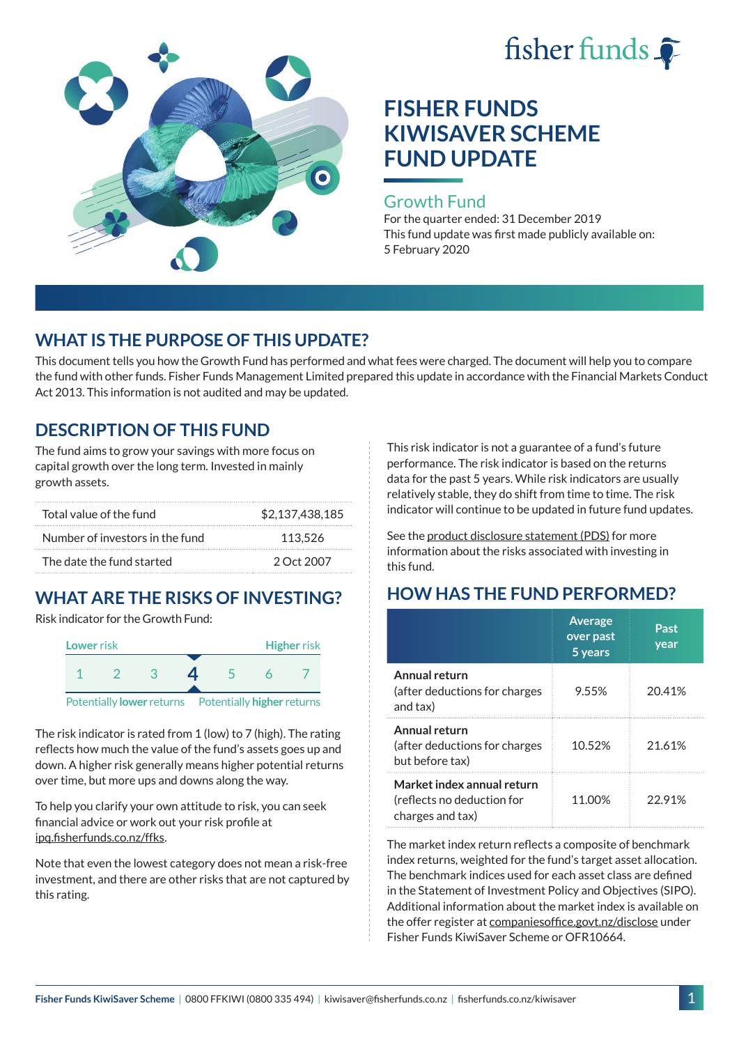



### Growth Fund

For the quarter ended: 31 December 2019 This fund update was first made publicly available on: 5 February 2020

# **WHAT IS THE PURPOSE OF THIS UPDATE?**

This document tells you how the Growth Fund has performed and what fees were charged. The document will help you to compare the fund with other funds. Fisher Funds Management Limited prepared this update in accordance with the Financial Markets Conduct Act 2013. This information is not audited and may be updated.

# **DESCRIPTION OF THIS FUND**

The fund aims to grow your savings with more focus on capital growth over the long term. Invested in mainly growth assets.

| Total value of the fund         | \$2.137.438.185 |
|---------------------------------|-----------------|
| Number of investors in the fund | 113.526         |
| The date the fund started       | 2 Oct 2007      |

# **WHAT ARE THE RISKS OF INVESTING?**

Risk indicator for the Growth Fund:



The risk indicator is rated from 1 (low) to 7 (high). The rating reflects how much the value of the fund's assets goes up and down. A higher risk generally means higher potential returns over time, but more ups and downs along the way.

To help you clarify your own attitude to risk, you can seek financial advice or work out your risk profile at [ipq.fisherfunds.co.nz/ffks](https://ipq.fisherfunds.co.nz/ffks).

Note that even the lowest category does not mean a risk-free investment, and there are other risks that are not captured by this rating.

This risk indicator is not a guarantee of a fund's future performance. The risk indicator is based on the returns data for the past 5 years. While risk indicators are usually relatively stable, they do shift from time to time. The risk indicator will continue to be updated in future fund updates.

See the [product disclosure statement \(PDS\)](https://fisherfunds.co.nz/assets/PDS/Fisher-Funds-KiwiSaver-Scheme-PDS.pdf) for more information about the risks associated with investing in this fund.

# **HOW HAS THE FUND PERFORMED?**

|                                                                              | <b>Average</b><br>over past<br>5 years | Past<br>year |
|------------------------------------------------------------------------------|----------------------------------------|--------------|
| Annual return<br>(after deductions for charges<br>and tax)                   | 9.55%                                  | 20.41%       |
| Annual return<br>(after deductions for charges<br>but before tax)            | 10.52%                                 | 21.61%       |
| Market index annual return<br>(reflects no deduction for<br>charges and tax) | 11.00%                                 | 22.91%       |

The market index return reflects a composite of benchmark index returns, weighted for the fund's target asset allocation. The benchmark indices used for each asset class are defined in the Statement of Investment Policy and Objectives (SIPO). Additional information about the market index is available on the offer register at [companiesoffice.govt.nz/disclose](http://companiesoffice.govt.nz/disclose) under Fisher Funds KiwiSaver Scheme or OFR10664.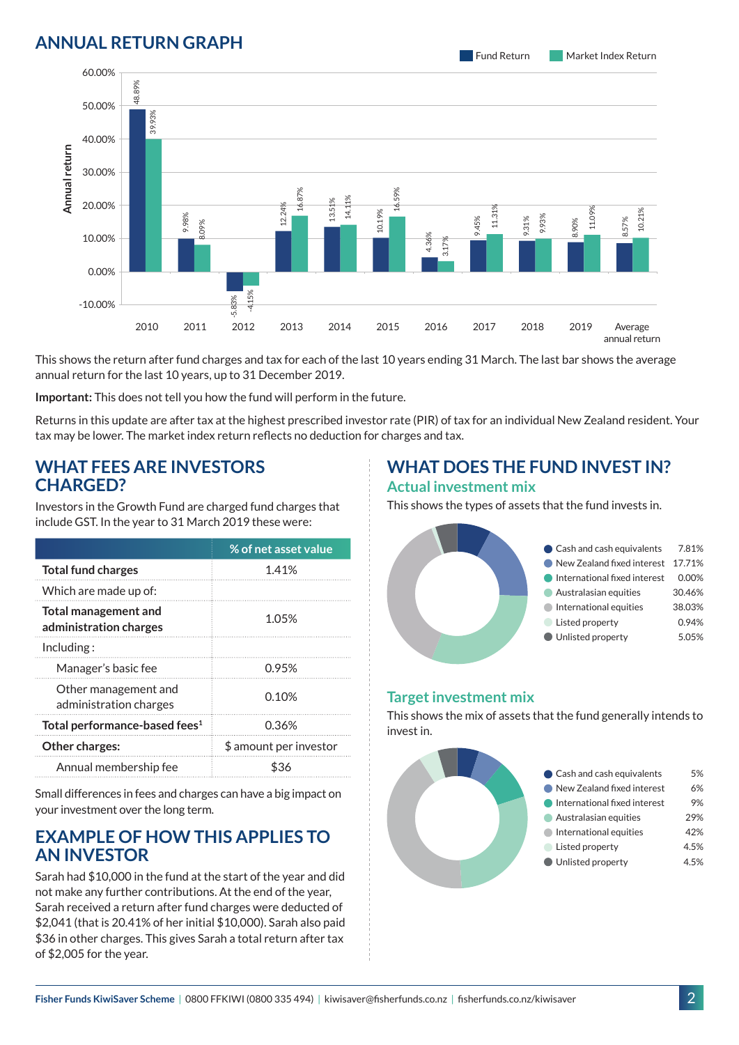# **ANNUAL RETURN GRAPH**

Fund Return Market Index Return



This shows the return after fund charges and tax for each of the last 10 years ending 31 March. The last bar shows the average annual return for the last 10 years, up to 31 December 2019.

**Important:** This does not tell you how the fund will perform in the future.

Returns in this update are after tax at the highest prescribed investor rate (PIR) of tax for an individual New Zealand resident. Your tax may be lower. The market index return reflects no deduction for charges and tax.

### **WHAT FEES ARE INVESTORS CHARGED?**

Investors in the Growth Fund are charged fund charges that include GST. In the year to 31 March 2019 these were:

|                                                       | % of net asset value   |  |
|-------------------------------------------------------|------------------------|--|
| <b>Total fund charges</b>                             | 1.41%                  |  |
| Which are made up of:                                 |                        |  |
| <b>Total management and</b><br>administration charges | 1.05%                  |  |
| Inding:                                               |                        |  |
| Manager's basic fee                                   | 0.95%                  |  |
| Other management and<br>administration charges        | 0.10%                  |  |
| Total performance-based fees <sup>1</sup>             | 0.36%                  |  |
| <b>Other charges:</b>                                 | \$ amount per investor |  |
| Annual membership fee                                 | \$36                   |  |

Small differences in fees and charges can have a big impact on your investment over the long term.

### **EXAMPLE OF HOW THIS APPLIES TO AN INVESTOR**

Sarah had \$10,000 in the fund at the start of the year and did not make any further contributions. At the end of the year, Sarah received a return after fund charges were deducted of \$2,041 (that is 20.41% of her initial \$10,000). Sarah also paid \$36 in other charges. This gives Sarah a total return after tax of \$2,005 for the year.

#### **WHAT DOES THE FUND INVEST IN? Actual investment mix**

This shows the types of assets that the fund invests in.



#### **Target investment mix**

This shows the mix of assets that the fund generally intends to invest in.